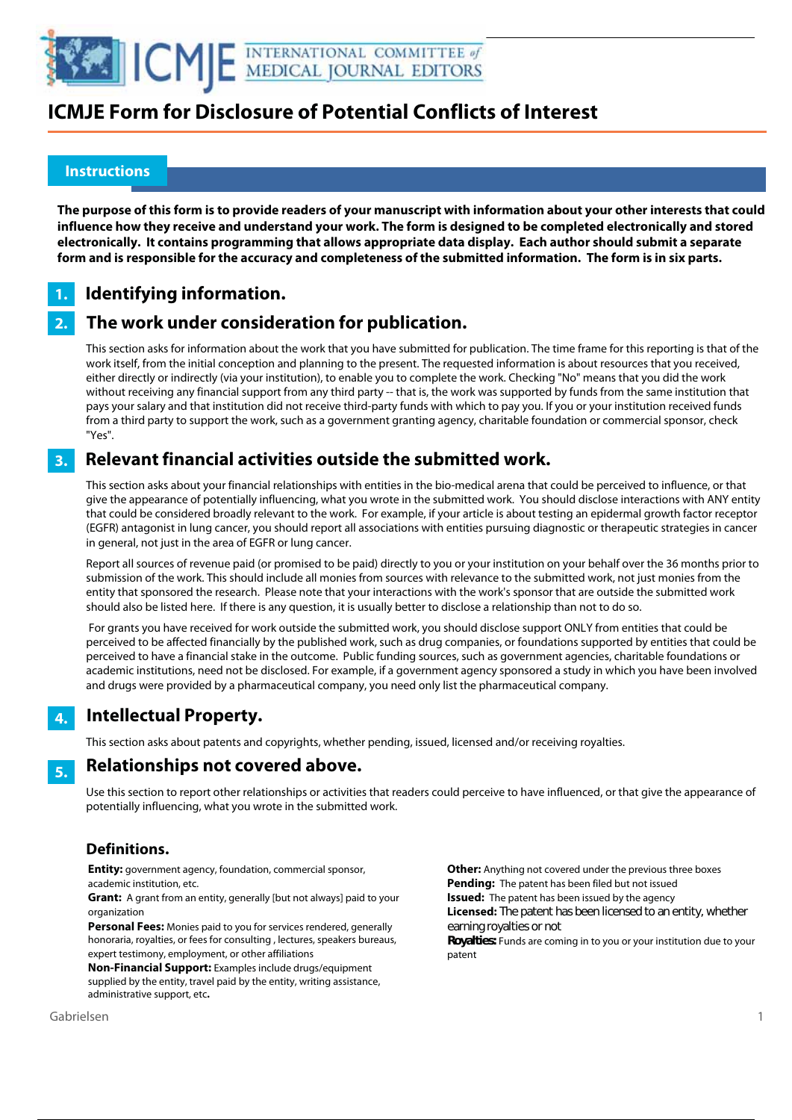

### **Instructions**

**The purpose of this form is to provide readers of your manuscript with information about your other interests that could influence how they receive and understand your work. The form is designed to be completed electronically and stored electronically. It contains programming that allows appropriate data display. Each author should submit a separate form and is responsible for the accuracy and completeness of the submitted information. The form is in six parts.** 

#### **Identifying information. 1.**

#### **The work under consideration for publication. 2.**

This section asks for information about the work that you have submitted for publication. The time frame for this reporting is that of the work itself, from the initial conception and planning to the present. The requested information is about resources that you received, either directly or indirectly (via your institution), to enable you to complete the work. Checking "No" means that you did the work without receiving any financial support from any third party -- that is, the work was supported by funds from the same institution that pays your salary and that institution did not receive third-party funds with which to pay you. If you or your institution received funds from a third party to support the work, such as a government granting agency, charitable foundation or commercial sponsor, check "Yes".

#### **Relevant financial activities outside the submitted work. 3.**

This section asks about your financial relationships with entities in the bio-medical arena that could be perceived to influence, or that give the appearance of potentially influencing, what you wrote in the submitted work. You should disclose interactions with ANY entity that could be considered broadly relevant to the work. For example, if your article is about testing an epidermal growth factor receptor (EGFR) antagonist in lung cancer, you should report all associations with entities pursuing diagnostic or therapeutic strategies in cancer in general, not just in the area of EGFR or lung cancer.

Report all sources of revenue paid (or promised to be paid) directly to you or your institution on your behalf over the 36 months prior to submission of the work. This should include all monies from sources with relevance to the submitted work, not just monies from the entity that sponsored the research. Please note that your interactions with the work's sponsor that are outside the submitted work should also be listed here. If there is any question, it is usually better to disclose a relationship than not to do so.

 For grants you have received for work outside the submitted work, you should disclose support ONLY from entities that could be perceived to be affected financially by the published work, such as drug companies, or foundations supported by entities that could be perceived to have a financial stake in the outcome. Public funding sources, such as government agencies, charitable foundations or academic institutions, need not be disclosed. For example, if a government agency sponsored a study in which you have been involved and drugs were provided by a pharmaceutical company, you need only list the pharmaceutical company.

#### **Intellectual Property. 4.**

This section asks about patents and copyrights, whether pending, issued, licensed and/or receiving royalties.

#### **Relationships not covered above. 5.**

Use this section to report other relationships or activities that readers could perceive to have influenced, or that give the appearance of potentially influencing, what you wrote in the submitted work.

## **Definitions.**

**Entity:** government agency, foundation, commercial sponsor, academic institution, etc.

**Grant:** A grant from an entity, generally [but not always] paid to your organization

**Personal Fees:** Monies paid to you for services rendered, generally honoraria, royalties, or fees for consulting , lectures, speakers bureaus, expert testimony, employment, or other affiliations

**Non-Financial Support:** Examples include drugs/equipment supplied by the entity, travel paid by the entity, writing assistance, administrative support, etc**.**

**Other:** Anything not covered under the previous three boxes **Pending:** The patent has been filed but not issued **Issued:** The patent has been issued by the agency **Licensed:** The patent has been licensed to an entity, whether earning royalties or not **Royalties:** Funds are coming in to you or your institution due to your patent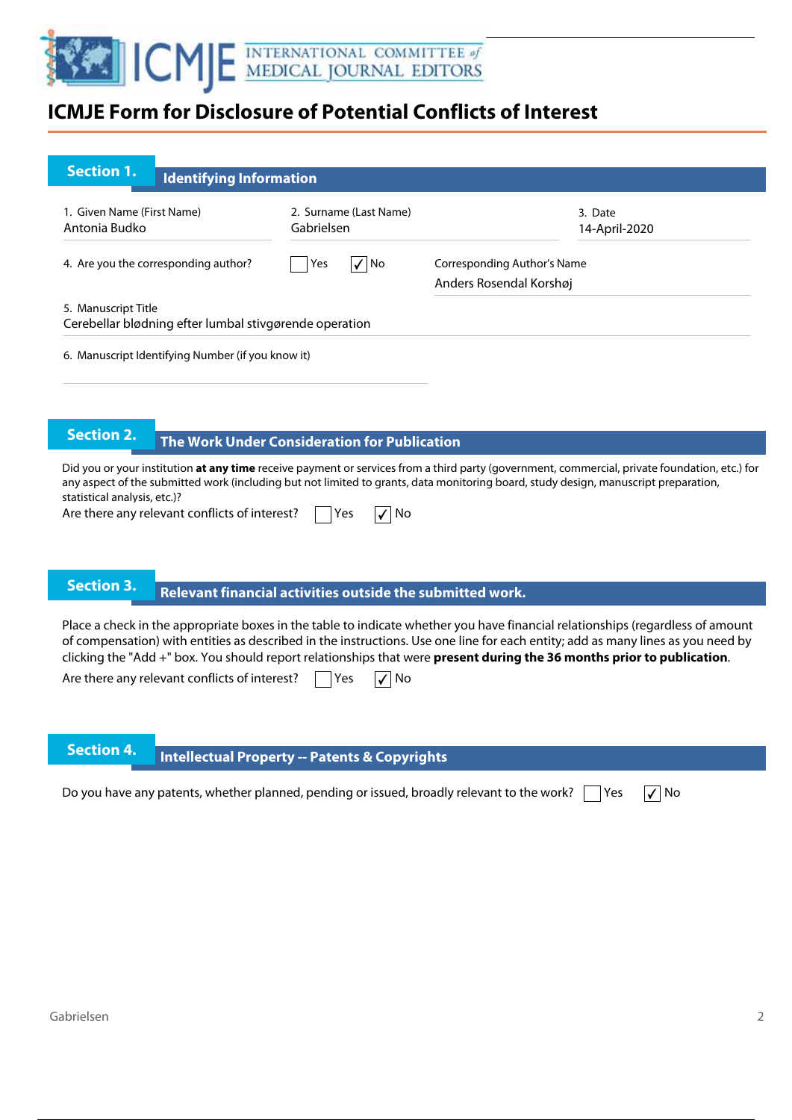

| <b>Section 1.</b>                                                                                                                                                                                                                                                                                                    | <b>Identifying Information</b>                         |                                                           |                                                                                                                                                                                                                                                                                                                                                                                             |  |  |
|----------------------------------------------------------------------------------------------------------------------------------------------------------------------------------------------------------------------------------------------------------------------------------------------------------------------|--------------------------------------------------------|-----------------------------------------------------------|---------------------------------------------------------------------------------------------------------------------------------------------------------------------------------------------------------------------------------------------------------------------------------------------------------------------------------------------------------------------------------------------|--|--|
| 1. Given Name (First Name)<br>Antonia Budko                                                                                                                                                                                                                                                                          |                                                        | 2. Surname (Last Name)<br>Gabrielsen                      | 3. Date<br>14-April-2020                                                                                                                                                                                                                                                                                                                                                                    |  |  |
| 4. Are you the corresponding author?                                                                                                                                                                                                                                                                                 |                                                        | $\sqrt{ N}$<br>Yes                                        | Corresponding Author's Name<br>Anders Rosendal Korshøj                                                                                                                                                                                                                                                                                                                                      |  |  |
| 5. Manuscript Title                                                                                                                                                                                                                                                                                                  | Cerebellar blødning efter lumbal stivgørende operation |                                                           |                                                                                                                                                                                                                                                                                                                                                                                             |  |  |
|                                                                                                                                                                                                                                                                                                                      | 6. Manuscript Identifying Number (if you know it)      |                                                           |                                                                                                                                                                                                                                                                                                                                                                                             |  |  |
|                                                                                                                                                                                                                                                                                                                      |                                                        |                                                           |                                                                                                                                                                                                                                                                                                                                                                                             |  |  |
| <b>Section 2.</b>                                                                                                                                                                                                                                                                                                    |                                                        | The Work Under Consideration for Publication              |                                                                                                                                                                                                                                                                                                                                                                                             |  |  |
| Did you or your institution at any time receive payment or services from a third party (government, commercial, private foundation, etc.) for<br>any aspect of the submitted work (including but not limited to grants, data monitoring board, study design, manuscript preparation,<br>statistical analysis, etc.)? |                                                        |                                                           |                                                                                                                                                                                                                                                                                                                                                                                             |  |  |
| Are there any relevant conflicts of interest?<br>No<br>Yes                                                                                                                                                                                                                                                           |                                                        |                                                           |                                                                                                                                                                                                                                                                                                                                                                                             |  |  |
|                                                                                                                                                                                                                                                                                                                      |                                                        |                                                           |                                                                                                                                                                                                                                                                                                                                                                                             |  |  |
| <b>Section 3.</b>                                                                                                                                                                                                                                                                                                    |                                                        | Relevant financial activities outside the submitted work. |                                                                                                                                                                                                                                                                                                                                                                                             |  |  |
|                                                                                                                                                                                                                                                                                                                      |                                                        |                                                           | Place a check in the appropriate boxes in the table to indicate whether you have financial relationships (regardless of amount<br>of compensation) with entities as described in the instructions. Use one line for each entity; add as many lines as you need by<br>clicking the "Add +" box. You should report relationships that were present during the 36 months prior to publication. |  |  |
|                                                                                                                                                                                                                                                                                                                      | Are there any relevant conflicts of interest?          | Yes<br>No                                                 |                                                                                                                                                                                                                                                                                                                                                                                             |  |  |
|                                                                                                                                                                                                                                                                                                                      |                                                        |                                                           |                                                                                                                                                                                                                                                                                                                                                                                             |  |  |

**Intellectual Property -- Patents & Copyrights** 

| Do you have any patents, whether planned, pending or issued, broadly relevant to the work? $\Box$ Yes $\Box$ No |  |  |  |  |
|-----------------------------------------------------------------------------------------------------------------|--|--|--|--|
|-----------------------------------------------------------------------------------------------------------------|--|--|--|--|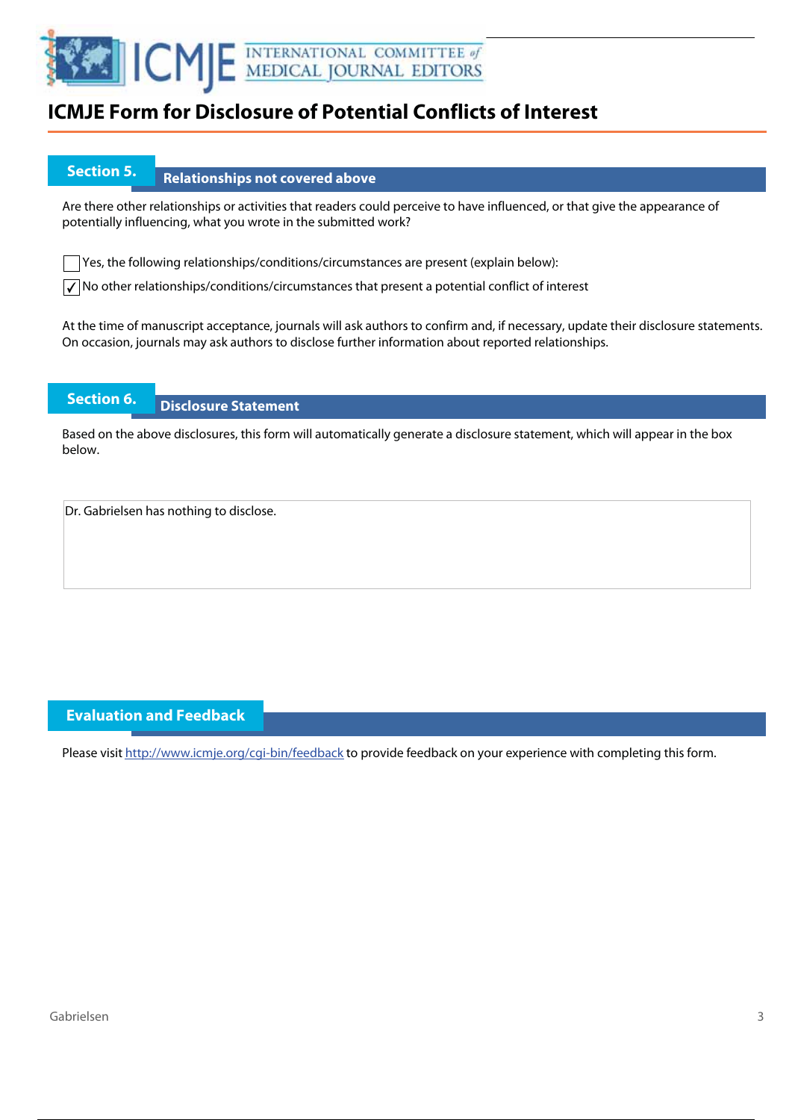

## **Section 5.** Relationships not covered above

Are there other relationships or activities that readers could perceive to have influenced, or that give the appearance of potentially influencing, what you wrote in the submitted work?

Yes, the following relationships/conditions/circumstances are present (explain below):

 $\sqrt{\sqrt{}}$  No other relationships/conditions/circumstances that present a potential conflict of interest

At the time of manuscript acceptance, journals will ask authors to confirm and, if necessary, update their disclosure statements. On occasion, journals may ask authors to disclose further information about reported relationships.

## **Section 6. Disclosure Statement**

Based on the above disclosures, this form will automatically generate a disclosure statement, which will appear in the box below.

Dr. Gabrielsen has nothing to disclose.

### **Evaluation and Feedback**

Please visit http://www.icmje.org/cgi-bin/feedback to provide feedback on your experience with completing this form.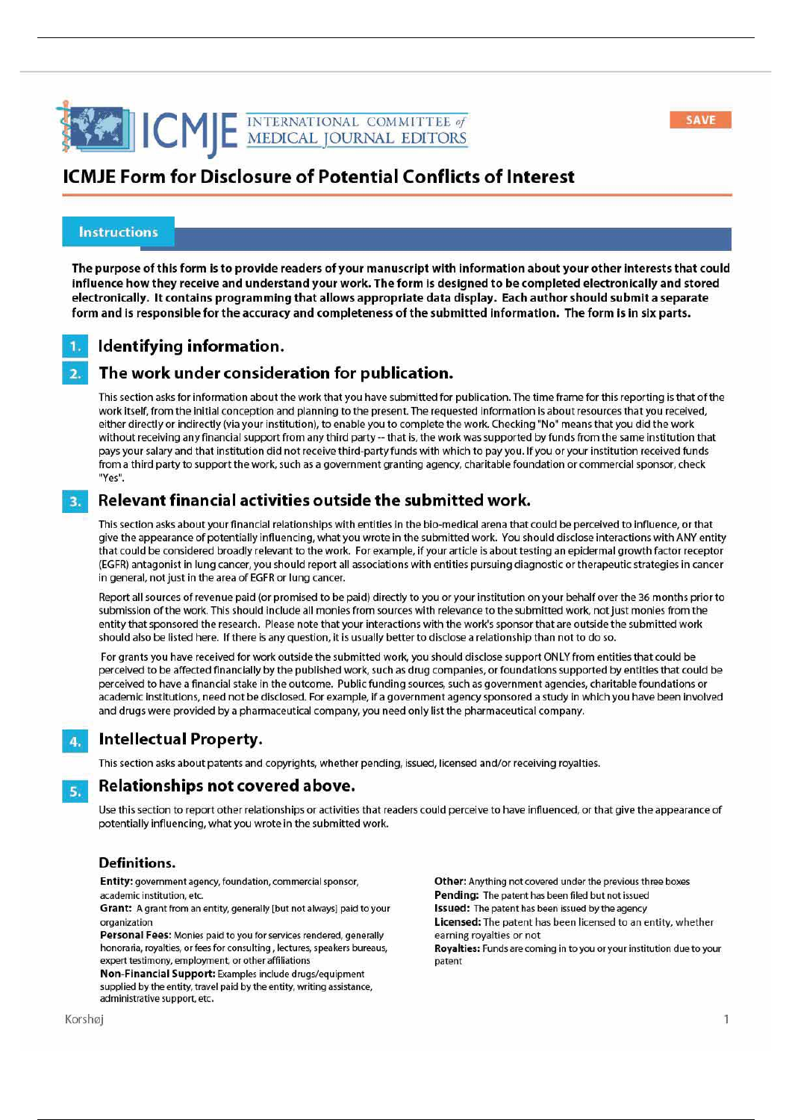



### **Instructions**

The purpose of this form is to provide readers of your manuscript with information about your other interests that could influence how they receive and understand your work. The form is designed to be completed electronically and stored electronically. It contains programming that allows appropriate data display. Each author should submit a separate form and is responsible for the accuracy and completeness of the submitted information. The form is in six parts.

### Identifying information.

### The work under consideration for publication.

This section asks for information about the work that you have submitted for publication. The time frame for this reporting is that of the work itself, from the initial conception and planning to the present. The requested information is about resources that you received, either directly or indirectly (via your institution), to enable you to complete the work. Checking "No" means that you did the work without receiving any financial support from any third party -- that is, the work was supported by funds from the same institution that pays your salary and that institution did not receive third-party funds with which to pay you. If you or your institution received funds from a third party to support the work, such as a government granting agency, charitable foundation or commercial sponsor, check "Yes"

#### Relevant financial activities outside the submitted work.  $\overline{a}$

This section asks about your financial relationships with entities in the bio-medical arena that could be perceived to influence, or that give the appearance of potentially influencing, what you wrote in the submitted work. You should disclose interactions with ANY entity that could be considered broadly relevant to the work. For example, if your article is about testing an epidermal growth factor receptor (EGFR) antagonist in lung cancer, you should report all associations with entities pursuing diagnostic or therapeutic strategies in cancer in general, not just in the area of EGFR or lung cancer.

Report all sources of revenue paid (or promised to be paid) directly to you or your institution on your behalf over the 36 months prior to submission of the work. This should include all monies from sources with relevance to the submitted work, not just monies from the entity that sponsored the research. Please note that your interactions with the work's sponsor that are outside the submitted work should also be listed here. If there is any question, it is usually better to disclose a relationship than not to do so.

For grants you have received for work outside the submitted work, you should disclose support ONLY from entities that could be perceived to be affected financially by the published work, such as drug companies, or foundations supported by entities that could be perceived to have a financial stake in the outcome. Public funding sources, such as government agencies, charitable foundations or academic institutions, need not be disclosed. For example, if a government agency sponsored a study in which you have been involved and drugs were provided by a pharmaceutical company, you need only list the pharmaceutical company.

### $\mathbf{A}$

5.

### Intellectual Property.

This section asks about patents and copyrights, whether pending, issued, licensed and/or receiving royalties.

### Relationships not covered above.

Use this section to report other relationships or activities that readers could perceive to have influenced, or that give the appearance of potentially influencing, what you wrote in the submitted work.

#### Definitions.

Entity: government agency, foundation, commercial sponsor, academic institution, etc.

Grant: A grant from an entity, generally [but not always] paid to your organization

Personal Fees: Monies paid to you for services rendered, generally honoraria, royalties, or fees for consulting, lectures, speakers bureaus, expert testimony, employment, or other affiliations

Non-Financial Support: Examples include drugs/equipment supplied by the entity, travel paid by the entity, writing assistance, administrative support, etc.

Other: Anything not covered under the previous three boxes Pending: The patent has been filed but not issued Issued: The patent has been issued by the agency Licensed: The patent has been licensed to an entity, whether earning rovalties or not Royalties: Funds are coming in to you or your institution due to your patent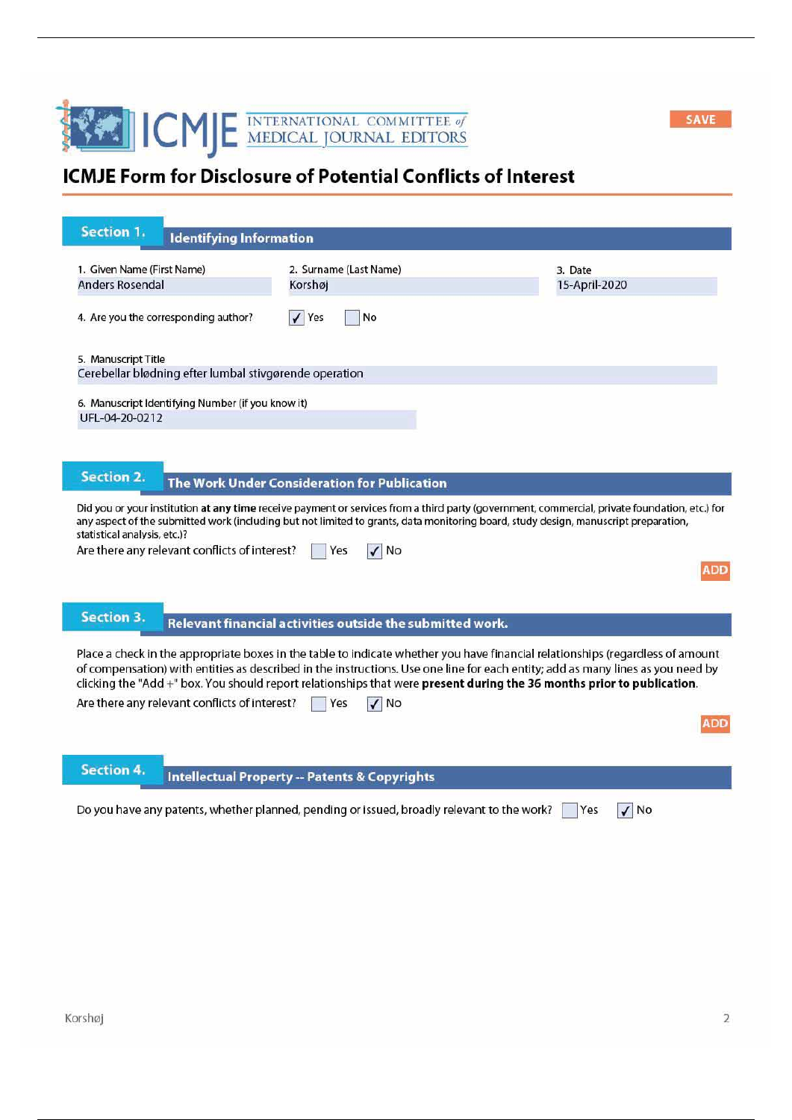



| Section 1.<br><b>Identifying Information</b>                                  |                                                                                                                                                                                                                                                                                                                                                                                                                   |                          |
|-------------------------------------------------------------------------------|-------------------------------------------------------------------------------------------------------------------------------------------------------------------------------------------------------------------------------------------------------------------------------------------------------------------------------------------------------------------------------------------------------------------|--------------------------|
| 1. Given Name (First Name)<br>Anders Rosendal                                 | 2. Surname (Last Name)<br>Korshøj                                                                                                                                                                                                                                                                                                                                                                                 | 3. Date<br>15-April-2020 |
| 4. Are you the corresponding author?                                          | ✓<br>Yes<br>No                                                                                                                                                                                                                                                                                                                                                                                                    |                          |
| 5. Manuscript Title<br>Cerebellar blødning efter lumbal stivgørende operation |                                                                                                                                                                                                                                                                                                                                                                                                                   |                          |
| 6. Manuscript Identifying Number (if you know it)<br>UFL-04-20-0212           |                                                                                                                                                                                                                                                                                                                                                                                                                   |                          |
| <b>Section 2.</b>                                                             |                                                                                                                                                                                                                                                                                                                                                                                                                   |                          |
| statistical analysis, etc.)?<br>Are there any relevant conflicts of interest? | The Work Under Consideration for Publication<br>Did you or your institution at any time receive payment or services from a third party (government, commercial, private foundation, etc.) for<br>any aspect of the submitted work (including but not limited to grants, data monitoring board, study design, manuscript preparation,<br>$\sqrt{NQ}$<br>Yes                                                        | ADD                      |
| <b>Section 3.</b>                                                             | Relevant financial activities outside the submitted work.                                                                                                                                                                                                                                                                                                                                                         |                          |
| Are there any relevant conflicts of interest?                                 | Place a check in the appropriate boxes in the table to indicate whether you have financial relationships (regardless of amount<br>of compensation) with entities as described in the instructions. Use one line for each entity; add as many lines as you need by<br>clicking the "Add +" box. You should report relationships that were present during the 36 months prior to publication.<br>$\sqrt{NQ}$<br>Yes |                          |
|                                                                               |                                                                                                                                                                                                                                                                                                                                                                                                                   | ADD                      |
| <b>Section 4.</b>                                                             | <b>Intellectual Property -- Patents &amp; Copyrights</b>                                                                                                                                                                                                                                                                                                                                                          |                          |
|                                                                               | Do you have any patents, whether planned, pending or issued, broadly relevant to the work?                                                                                                                                                                                                                                                                                                                        | $\sqrt{NQ}$<br>Yes       |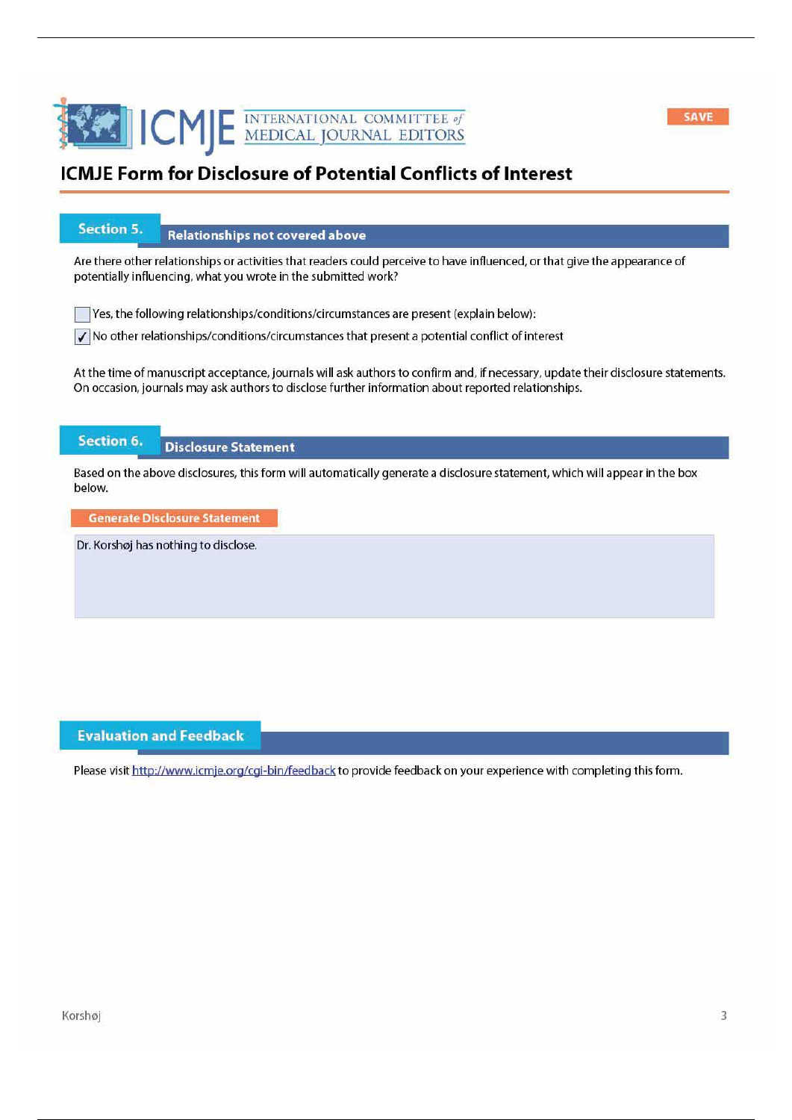



#### **Section 5. Relationships not covered above**

Are there other relationships or activities that readers could perceive to have influenced, or that give the appearance of potentially influencing, what you wrote in the submitted work?

Yes, the following relationships/conditions/circumstances are present (explain below):

√ No other relationships/conditions/circumstances that present a potential conflict of interest

At the time of manuscript acceptance, journals will ask authors to confirm and, if necessary, update their disclosure statements. On occasion, journals may ask authors to disclose further information about reported relationships.

Section 6. **Disclosure Statement** 

Based on the above disclosures, this form will automatically generate a disclosure statement, which will appear in the box below.

**Generate Disclosure Statement** 

Dr. Korshøj has nothing to disclose.

### **Evaluation and Feedback**

Please visit http://www.icmje.org/cgi-bin/feedback to provide feedback on your experience with completing this form.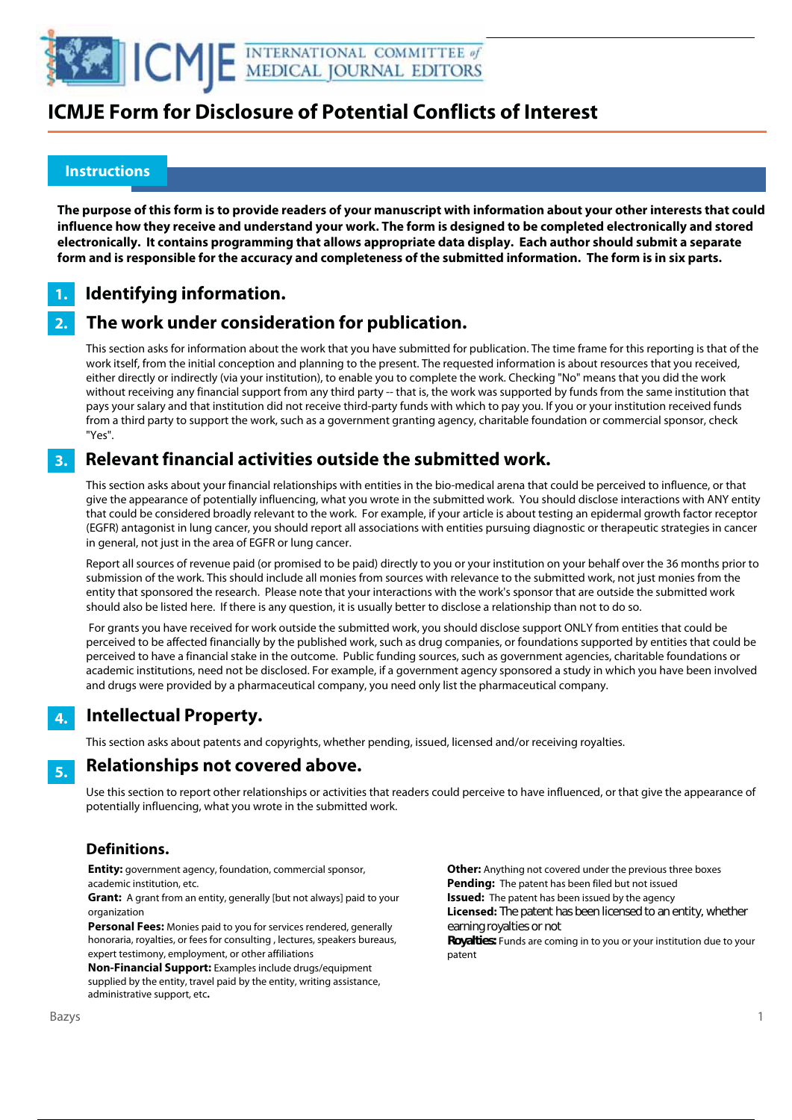

### **Instructions**

**The purpose of this form is to provide readers of your manuscript with information about your other interests that could influence how they receive and understand your work. The form is designed to be completed electronically and stored electronically. It contains programming that allows appropriate data display. Each author should submit a separate form and is responsible for the accuracy and completeness of the submitted information. The form is in six parts.** 

#### **Identifying information. 1.**

#### **The work under consideration for publication. 2.**

This section asks for information about the work that you have submitted for publication. The time frame for this reporting is that of the work itself, from the initial conception and planning to the present. The requested information is about resources that you received, either directly or indirectly (via your institution), to enable you to complete the work. Checking "No" means that you did the work without receiving any financial support from any third party -- that is, the work was supported by funds from the same institution that pays your salary and that institution did not receive third-party funds with which to pay you. If you or your institution received funds from a third party to support the work, such as a government granting agency, charitable foundation or commercial sponsor, check "Yes".

#### **Relevant financial activities outside the submitted work. 3.**

This section asks about your financial relationships with entities in the bio-medical arena that could be perceived to influence, or that give the appearance of potentially influencing, what you wrote in the submitted work. You should disclose interactions with ANY entity that could be considered broadly relevant to the work. For example, if your article is about testing an epidermal growth factor receptor (EGFR) antagonist in lung cancer, you should report all associations with entities pursuing diagnostic or therapeutic strategies in cancer in general, not just in the area of EGFR or lung cancer.

Report all sources of revenue paid (or promised to be paid) directly to you or your institution on your behalf over the 36 months prior to submission of the work. This should include all monies from sources with relevance to the submitted work, not just monies from the entity that sponsored the research. Please note that your interactions with the work's sponsor that are outside the submitted work should also be listed here. If there is any question, it is usually better to disclose a relationship than not to do so.

 For grants you have received for work outside the submitted work, you should disclose support ONLY from entities that could be perceived to be affected financially by the published work, such as drug companies, or foundations supported by entities that could be perceived to have a financial stake in the outcome. Public funding sources, such as government agencies, charitable foundations or academic institutions, need not be disclosed. For example, if a government agency sponsored a study in which you have been involved and drugs were provided by a pharmaceutical company, you need only list the pharmaceutical company.

#### **Intellectual Property. 4.**

This section asks about patents and copyrights, whether pending, issued, licensed and/or receiving royalties.

#### **Relationships not covered above. 5.**

Use this section to report other relationships or activities that readers could perceive to have influenced, or that give the appearance of potentially influencing, what you wrote in the submitted work.

## **Definitions.**

**Entity:** government agency, foundation, commercial sponsor, academic institution, etc.

**Grant:** A grant from an entity, generally [but not always] paid to your organization

**Personal Fees:** Monies paid to you for services rendered, generally honoraria, royalties, or fees for consulting , lectures, speakers bureaus, expert testimony, employment, or other affiliations

**Non-Financial Support:** Examples include drugs/equipment supplied by the entity, travel paid by the entity, writing assistance, administrative support, etc**.**

**Other:** Anything not covered under the previous three boxes **Pending:** The patent has been filed but not issued **Issued:** The patent has been issued by the agency **Licensed:** The patent has been licensed to an entity, whether earning royalties or not **Royalties:** Funds are coming in to you or your institution due to your patent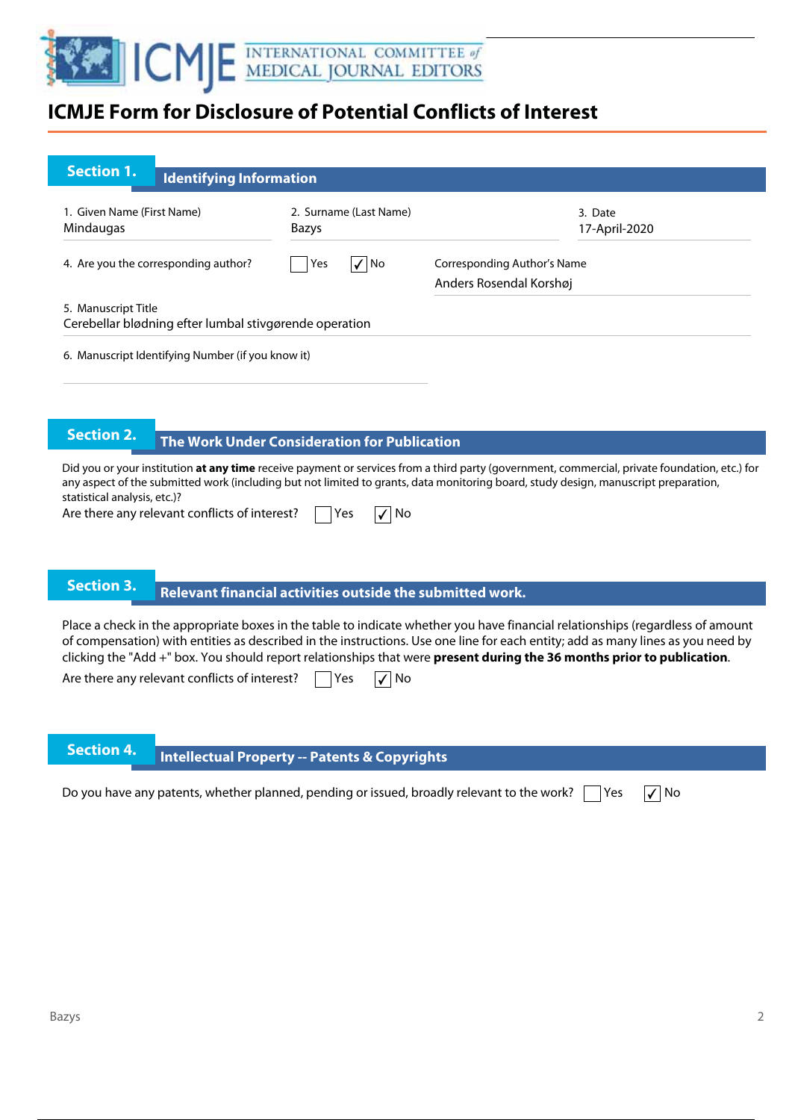

| Section 1.                              | <b>Identifying Information</b>                         |                                                           |                                                                                                                                                                                                                                                                                                                                                                                             |
|-----------------------------------------|--------------------------------------------------------|-----------------------------------------------------------|---------------------------------------------------------------------------------------------------------------------------------------------------------------------------------------------------------------------------------------------------------------------------------------------------------------------------------------------------------------------------------------------|
| 1. Given Name (First Name)<br>Mindaugas |                                                        | 2. Surname (Last Name)<br>Bazys                           | 3. Date<br>17-April-2020                                                                                                                                                                                                                                                                                                                                                                    |
| 4. Are you the corresponding author?    |                                                        | $\sqrt{ N_{0}}$<br>Yes                                    | Corresponding Author's Name<br>Anders Rosendal Korshøj                                                                                                                                                                                                                                                                                                                                      |
| 5. Manuscript Title                     | Cerebellar blødning efter lumbal stivgørende operation |                                                           |                                                                                                                                                                                                                                                                                                                                                                                             |
|                                         | 6. Manuscript Identifying Number (if you know it)      |                                                           |                                                                                                                                                                                                                                                                                                                                                                                             |
|                                         |                                                        |                                                           |                                                                                                                                                                                                                                                                                                                                                                                             |
| <b>Section 2.</b>                       |                                                        | <b>The Work Under Consideration for Publication</b>       |                                                                                                                                                                                                                                                                                                                                                                                             |
| statistical analysis, etc.)?            |                                                        |                                                           | Did you or your institution at any time receive payment or services from a third party (government, commercial, private foundation, etc.) for<br>any aspect of the submitted work (including but not limited to grants, data monitoring board, study design, manuscript preparation,                                                                                                        |
|                                         | Are there any relevant conflicts of interest?          | No<br>Yes                                                 |                                                                                                                                                                                                                                                                                                                                                                                             |
|                                         |                                                        |                                                           |                                                                                                                                                                                                                                                                                                                                                                                             |
| <b>Section 3.</b>                       |                                                        | Relevant financial activities outside the submitted work. |                                                                                                                                                                                                                                                                                                                                                                                             |
|                                         |                                                        |                                                           | Place a check in the appropriate boxes in the table to indicate whether you have financial relationships (regardless of amount<br>of compensation) with entities as described in the instructions. Use one line for each entity; add as many lines as you need by<br>clicking the "Add +" box. You should report relationships that were present during the 36 months prior to publication. |
|                                         | Are there any relevant conflicts of interest?          | Yes<br>No                                                 |                                                                                                                                                                                                                                                                                                                                                                                             |
|                                         |                                                        |                                                           |                                                                                                                                                                                                                                                                                                                                                                                             |

**Intellectual Property -- Patents & Copyrights** 

| Do you have any patents, whether planned, pending or issued, broadly relevant to the work? $\Box$ Yes $\Box$ No |  |  |
|-----------------------------------------------------------------------------------------------------------------|--|--|
|-----------------------------------------------------------------------------------------------------------------|--|--|